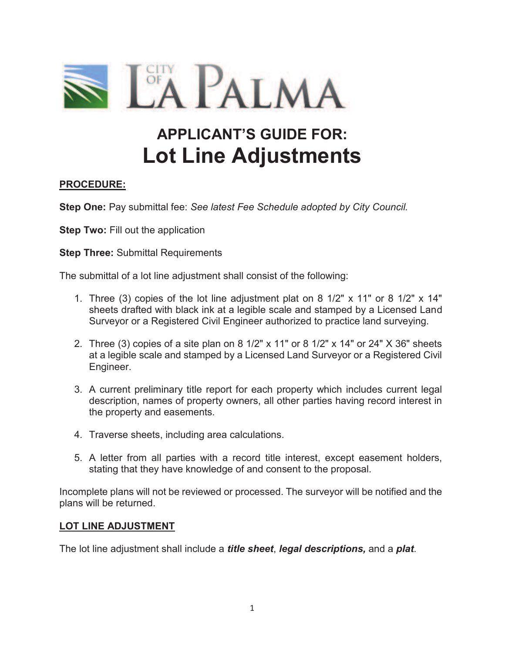

# **APPLICANT'S GUIDE FOR: Lot Line Adjustments**

# **PROCEDURE:**

**Step One:** Pay submittal fee: *See latest Fee Schedule adopted by City Council.* 

**Step Two: Fill out the application** 

**Step Three: Submittal Requirements** 

The submittal of a lot line adjustment shall consist of the following:

- 1. Three (3) copies of the lot line adjustment plat on 8 1/2" x 11" or 8 1/2" x 14" sheets drafted with black ink at a legible scale and stamped by a Licensed Land Surveyor or a Registered Civil Engineer authorized to practice land surveying.
- 2. Three (3) copies of a site plan on 8 1/2" x 11" or 8 1/2" x 14" or 24" X 36" sheets at a legible scale and stamped by a Licensed Land Surveyor or a Registered Civil Engineer.
- 3. A current preliminary title report for each property which includes current legal description, names of property owners, all other parties having record interest in the property and easements.
- 4. Traverse sheets, including area calculations.
- 5. A letter from all parties with a record title interest, except easement holders, stating that they have knowledge of and consent to the proposal.

Incomplete plans will not be reviewed or processed. The surveyor will be notified and the plans will be returned.

#### **LOT LINE ADJUSTMENT**

The lot line adjustment shall include a *title sheet*, *legal descriptions,* and a *plat*.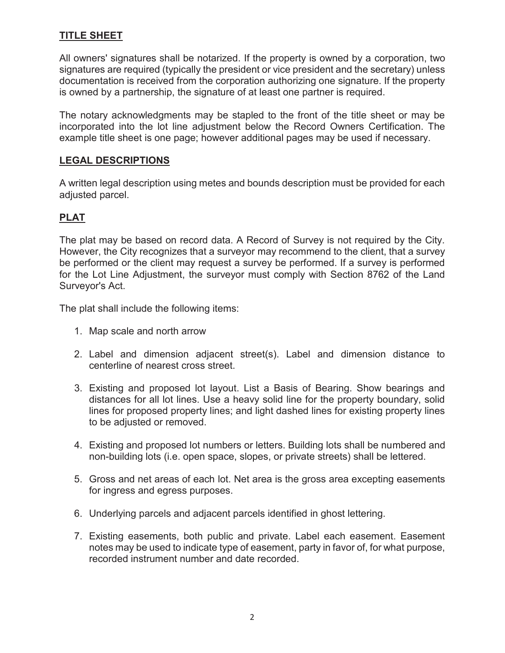# **TITLE SHEET**

All owners' signatures shall be notarized. If the property is owned by a corporation, two signatures are required (typically the president or vice president and the secretary) unless documentation is received from the corporation authorizing one signature. If the property is owned by a partnership, the signature of at least one partner is required.

The notary acknowledgments may be stapled to the front of the title sheet or may be incorporated into the lot line adjustment below the Record Owners Certification. The example title sheet is one page; however additional pages may be used if necessary.

# **LEGAL DESCRIPTIONS**

A written legal description using metes and bounds description must be provided for each adjusted parcel.

# **PLAT**

The plat may be based on record data. A Record of Survey is not required by the City. However, the City recognizes that a surveyor may recommend to the client, that a survey be performed or the client may request a survey be performed. If a survey is performed for the Lot Line Adjustment, the surveyor must comply with Section 8762 of the Land Surveyor's Act.

The plat shall include the following items:

- 1. Map scale and north arrow
- 2. Label and dimension adjacent street(s). Label and dimension distance to centerline of nearest cross street.
- 3. Existing and proposed lot layout. List a Basis of Bearing. Show bearings and distances for all lot lines. Use a heavy solid line for the property boundary, solid lines for proposed property lines; and light dashed lines for existing property lines to be adjusted or removed.
- 4. Existing and proposed lot numbers or letters. Building lots shall be numbered and non-building lots (i.e. open space, slopes, or private streets) shall be lettered.
- 5. Gross and net areas of each lot. Net area is the gross area excepting easements for ingress and egress purposes.
- 6. Underlying parcels and adjacent parcels identified in ghost lettering.
- 7. Existing easements, both public and private. Label each easement. Easement notes may be used to indicate type of easement, party in favor of, for what purpose, recorded instrument number and date recorded.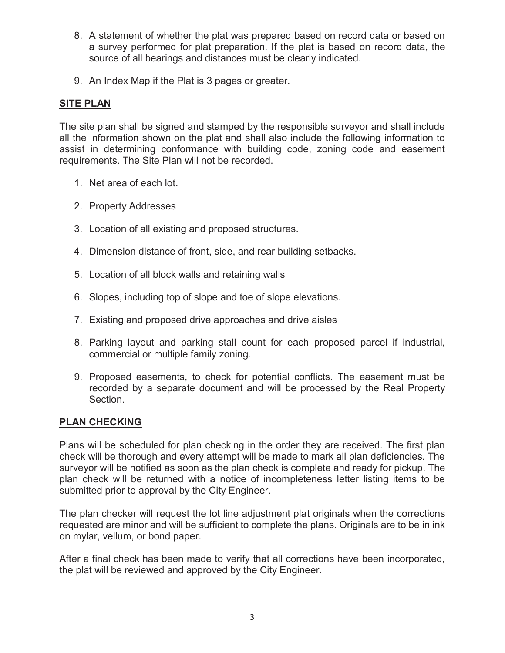- 8. A statement of whether the plat was prepared based on record data or based on a survey performed for plat preparation. If the plat is based on record data, the source of all bearings and distances must be clearly indicated.
- 9. An Index Map if the Plat is 3 pages or greater.

# **SITE PLAN**

The site plan shall be signed and stamped by the responsible surveyor and shall include all the information shown on the plat and shall also include the following information to assist in determining conformance with building code, zoning code and easement requirements. The Site Plan will not be recorded.

- 1. Net area of each lot.
- 2. Property Addresses
- 3. Location of all existing and proposed structures.
- 4. Dimension distance of front, side, and rear building setbacks.
- 5. Location of all block walls and retaining walls
- 6. Slopes, including top of slope and toe of slope elevations.
- 7. Existing and proposed drive approaches and drive aisles
- 8. Parking layout and parking stall count for each proposed parcel if industrial, commercial or multiple family zoning.
- 9. Proposed easements, to check for potential conflicts. The easement must be recorded by a separate document and will be processed by the Real Property Section.

#### **PLAN CHECKING**

Plans will be scheduled for plan checking in the order they are received. The first plan check will be thorough and every attempt will be made to mark all plan deficiencies. The surveyor will be notified as soon as the plan check is complete and ready for pickup. The plan check will be returned with a notice of incompleteness letter listing items to be submitted prior to approval by the City Engineer.

The plan checker will request the lot line adjustment plat originals when the corrections requested are minor and will be sufficient to complete the plans. Originals are to be in ink on mylar, vellum, or bond paper.

After a final check has been made to verify that all corrections have been incorporated, the plat will be reviewed and approved by the City Engineer.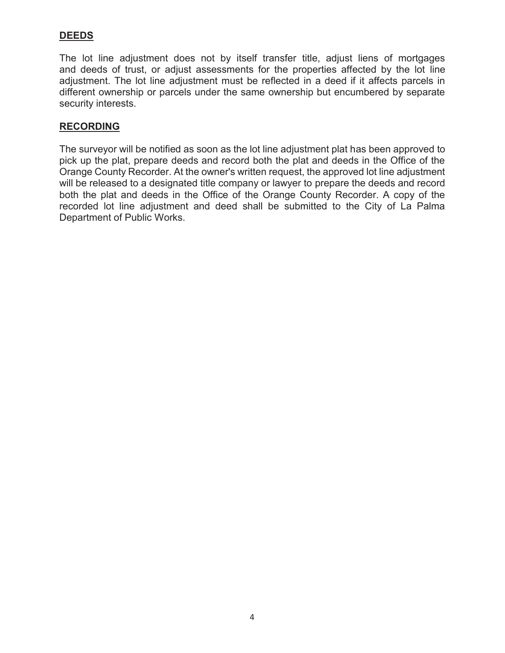# **DEEDS**

The lot line adjustment does not by itself transfer title, adjust liens of mortgages and deeds of trust, or adjust assessments for the properties affected by the lot line adjustment. The lot line adjustment must be reflected in a deed if it affects parcels in different ownership or parcels under the same ownership but encumbered by separate security interests.

# **RECORDING**

The surveyor will be notified as soon as the lot line adjustment plat has been approved to pick up the plat, prepare deeds and record both the plat and deeds in the Office of the Orange County Recorder. At the owner's written request, the approved lot line adjustment will be released to a designated title company or lawyer to prepare the deeds and record both the plat and deeds in the Office of the Orange County Recorder. A copy of the recorded lot line adjustment and deed shall be submitted to the City of La Palma Department of Public Works.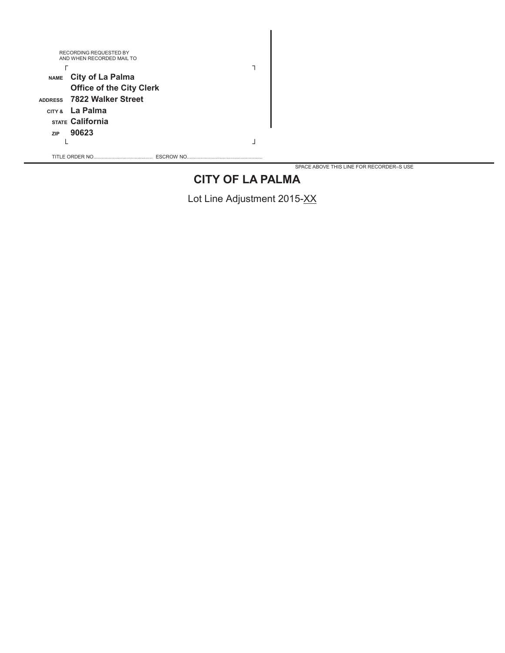|             | RECORDING REQUESTED BY<br>AND WHEN RECORDED MAIL TO |  |
|-------------|-----------------------------------------------------|--|
|             |                                                     |  |
| <b>NAME</b> | <b>City of La Palma</b>                             |  |
|             | <b>Office of the City Clerk</b>                     |  |
|             | ADDRESS 7822 Walker Street                          |  |
|             | CITY & La Palma                                     |  |
|             | <b>STATE California</b>                             |  |
| <b>ZIP</b>  | 90623                                               |  |
|             |                                                     |  |
|             | TITLE ORDER NO.<br><b>ESCROW NO</b>                 |  |

SPACE ABOVE THIS LINE FOR RECORDER=S USE

# **CITY OF LA PALMA**

Lot Line Adjustment 2015-XX

I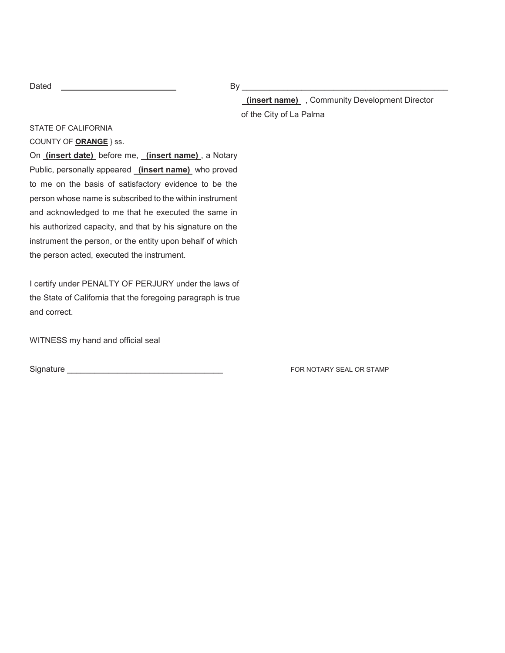|--|--|

 $\mathsf{By} \_\_\_\_\_\_\_\$ 

 **(insert name)** , Community Development Director of the City of La Palma

STATE OF CALIFORNIA

COUNTY OF **ORANGE** } ss.

On **(insert date)** before me, **(insert name)** , a Notary Public, personally appeared **(insert name)** who proved to me on the basis of satisfactory evidence to be the person whose name is subscribed to the within instrument and acknowledged to me that he executed the same in his authorized capacity, and that by his signature on the instrument the person, or the entity upon behalf of which the person acted, executed the instrument.

I certify under PENALTY OF PERJURY under the laws of the State of California that the foregoing paragraph is true and correct.

WITNESS my hand and official seal

Signature \_\_\_\_\_\_\_\_\_\_\_\_\_\_\_\_\_\_\_\_\_\_\_\_\_\_\_\_\_\_\_\_\_\_ FOR NOTARY SEAL OR STAMP